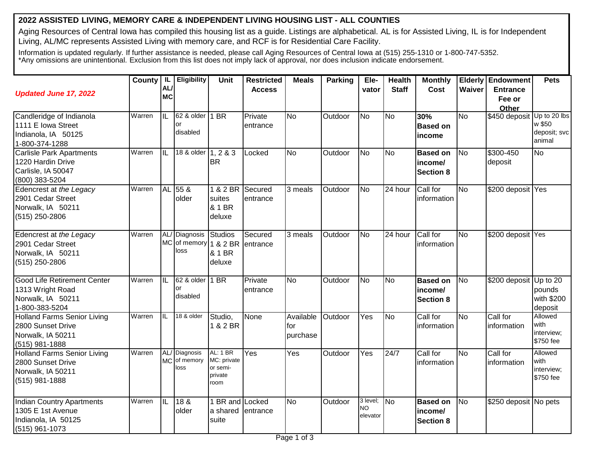## **2022 ASSISTED LIVING, MEMORY CARE & INDEPENDENT LIVING HOUSING LIST - ALL COUNTIES**

Aging Resources of Central Iowa has compiled this housing list as a guide. Listings are alphabetical. AL is for Assisted Living, IL is for Independent Living, AL/MC represents Assisted Living with memory care, and RCF is for Residential Care Facility.

Information is updated regularly. If further assistance is needed, please call Aging Resources of Central Iowa at (515) 255-1310 or 1-800-747-5352. \*Any omissions are unintentional. Exclusion from this list does not imply lack of approval, nor does inclusion indicate endorsement.

| <b>Updated June 17, 2022</b>                                                                   | County   IL | <b>AL</b><br><b>MC</b>  | Eligibility                                     | <b>Unit</b>                                                   | <b>Restricted</b><br><b>Access</b> | <b>Meals</b>                 | Parking | Ele-<br>vator                     | <b>Health</b><br><b>Staff</b> | <b>Monthly</b><br>Cost                         | Waiver         | <b>Elderly Endowment</b><br><b>Entrance</b><br>Fee or<br>Other | <b>Pets</b>                                      |
|------------------------------------------------------------------------------------------------|-------------|-------------------------|-------------------------------------------------|---------------------------------------------------------------|------------------------------------|------------------------------|---------|-----------------------------------|-------------------------------|------------------------------------------------|----------------|----------------------------------------------------------------|--------------------------------------------------|
| Candleridge of Indianola<br>1111 E Iowa Street<br>Indianola, IA 50125<br>1-800-374-1288        | Warren      | $\overline{\mathbb{L}}$ | 62 & older   1 BR<br>or<br>disabled             |                                                               | Private<br>entrance                | <b>No</b>                    | Outdoor | <b>No</b>                         | <b>No</b>                     | 30%<br><b>Based on</b><br>income               | <b>No</b>      | \$450 deposit                                                  | Up to 20 lbs<br>w \$50<br>deposit; svc<br>animal |
| <b>Carlisle Park Apartments</b><br>1220 Hardin Drive<br>Carlisle, IA 50047<br>(800) 383-5204   | Warren      | Iil                     | 18 & older 1, 2 & 3                             | <b>BR</b>                                                     | Locked                             | <b>No</b>                    | Outdoor | <b>No</b>                         | <b>No</b>                     | <b>Based on</b><br>income/<br><b>Section 8</b> | <b>No</b>      | \$300-450<br>deposit                                           | <b>No</b>                                        |
| Edencrest at the Legacy<br>2901 Cedar Street<br>Norwalk, IA 50211<br>$(515)$ 250-2806          | Warren      | <b>AL</b>               | 55 &<br>older                                   | 1 & 2 BR<br>suites<br>& 1 BR<br>deluxe                        | Secured<br>entrance                | 3 meals                      | Outdoor | No                                | 24 hour                       | Call for<br>information                        | <b>No</b>      | \$200 deposit Yes                                              |                                                  |
| Edencrest at the Legacy<br>2901 Cedar Street<br>Norwalk, IA 50211<br>(515) 250-2806            | Warren      | AL/<br><b>MC</b>        | Diagnosis Studios<br>of memory 1 & 2 BR<br>loss | & 1 BR<br>deluxe                                              | Secured<br>entrance                | 3 meals                      | Outdoor | No                                | 24 hour                       | Call for<br>information                        | <b>No</b>      | \$200 deposit Yes                                              |                                                  |
| <b>Good Life Retirement Center</b><br>1313 Wright Road<br>Norwalk, IA 50211<br>1-800-383-5204  | Warren      | $\overline{\text{IL}}$  | 62 & older 1 BR<br>or<br>disabled               |                                                               | Private<br>entrance                | No                           | Outdoor | N <sub>o</sub>                    | <b>No</b>                     | <b>Based on</b><br>income/<br><b>Section 8</b> | No             | \$200 deposit Up to 20                                         | pounds<br>with \$200<br>deposit                  |
| <b>Holland Farms Senior Living</b><br>2800 Sunset Drive<br>Norwalk, IA 50211<br>(515) 981-1888 | Warren      | IL                      | 18 & older                                      | Studio,<br>1 & 2 BR                                           | <b>None</b>                        | Available<br>for<br>purchase | Outdoor | Yes                               | No                            | Call for<br>information                        | <b>No</b>      | Call for<br>information                                        | Allowed<br>with<br>interview;<br>\$750 fee       |
| <b>Holland Farms Senior Living</b><br>2800 Sunset Drive<br>Norwalk, IA 50211<br>(515) 981-1888 | Warren      | AL/<br><b>MC</b>        | Diagnosis<br>of memory<br>loss                  | <b>AL: 1 BR</b><br>MC: private<br>or semi-<br>private<br>room | Yes                                | Yes                          | Outdoor | Yes                               | 24/7                          | Call for<br>information                        | $\overline{N}$ | Call for<br>information                                        | Allowed<br>with<br>interview;<br>\$750 fee       |
| <b>Indian Country Apartments</b><br>1305 E 1st Avenue<br>Indianola, IA 50125<br>(515) 961-1073 | Warren      | $\overline{\mathbb{L}}$ | 18 <sub>8</sub><br>older                        | <b>BR</b> and Locked<br>a shared<br>suite                     | entrance                           | <b>No</b>                    | Outdoor | 3 level;<br><b>NO</b><br>elevator | <b>No</b>                     | <b>Based on</b><br>income/<br><b>Section 8</b> | <b>No</b>      | \$250 deposit No pets                                          |                                                  |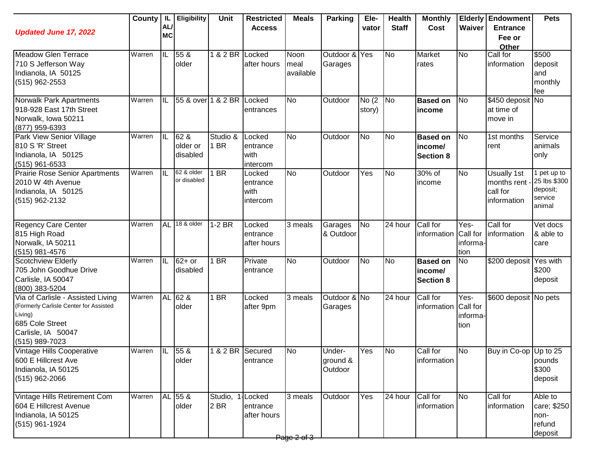| <b>Updated June 17, 2022</b>                                                                                                                      | County         | IL.<br>AL/<br><b>MC</b> | <b>Eligibility</b>           | Unit                       | <b>Restricted</b><br><b>Access</b>       | <b>Meals</b>              | <b>Parking</b>                | Ele-<br>vator   | <b>Health</b><br><b>Staff</b> | <b>Monthly</b><br>Cost                         | Waiver                   | <b>Elderly Endowment</b><br><b>Entrance</b><br>Fee or<br>Other | <b>Pets</b>                                                  |
|---------------------------------------------------------------------------------------------------------------------------------------------------|----------------|-------------------------|------------------------------|----------------------------|------------------------------------------|---------------------------|-------------------------------|-----------------|-------------------------------|------------------------------------------------|--------------------------|----------------------------------------------------------------|--------------------------------------------------------------|
| Meadow Glen Terrace<br>710 S Jefferson Way<br>Indianola, IA 50125<br>$(515)$ 962-2553                                                             | Warren         | ℿ                       | 55 &<br>older                | 1 & 2 BR Locked            | after hours                              | Noon<br>meal<br>available | Outdoor & Yes<br>Garages      |                 | <b>No</b>                     | Market<br>rates                                | <b>No</b>                | Call for<br>information                                        | \$500<br>deposit<br>and<br>monthly<br>fee                    |
| Norwalk Park Apartments<br>918-928 East 17th Street<br>Norwalk, Iowa 50211<br>(877) 959-6393                                                      | Warren         | IIL                     | 55 & over 1 & 2 BR Locked    |                            | entrances                                | <b>No</b>                 | Outdoor                       | No(2)<br>story) | No                            | <b>Based on</b><br>income                      | <b>No</b>                | \$450 deposit No<br>at time of<br>move in                      |                                                              |
| Park View Senior Village<br>810 S 'R' Street<br>Indianola, IA 50125<br>$(515)$ 961-6533                                                           | Warren         | IIL                     | 62 &<br>older or<br>disabled | Studio &<br>1 BR           | Locked<br>entrance<br>with<br>intercom   | <b>No</b>                 | Outdoor                       | <b>No</b>       | <b>No</b>                     | <b>Based on</b><br>income/<br><b>Section 8</b> | N <sub>o</sub>           | 1st months<br>rent                                             | Service<br>animals<br>only                                   |
| <b>Prairie Rose Senior Apartments</b><br>2010 W 4th Avenue<br>Indianola, IA 50125<br>$(515)$ 962-2132                                             | Warren         | Iil                     | 62 & older<br>or disabled    | I BR                       | Locked<br>entrance<br>with<br>intercom   | <b>No</b>                 | Outdoor                       | Yes             | N <sub>o</sub>                | 30% of<br>income                               | <b>No</b>                | <b>Usually 1st</b><br>months rent<br>call for<br>information   | 1 pet up to<br>25 lbs \$300<br>deposit;<br>service<br>animal |
| <b>Regency Care Center</b><br>815 High Road<br>Norwalk, IA 50211<br>(515) 981-4576                                                                | Warren         | <b>AL</b>               | 18 & older                   | $1-2$ BR                   | Locked<br>entrance<br>after hours        | 3 meals                   | Garages<br>& Outdoor          | No              | $\overline{24}$ hour          | Call for<br>information Call for               | Yes-<br>informa-<br>tion | Call for<br>information                                        | Vet docs<br>& able to<br>care                                |
| Scotchview Elderly<br>705 John Goodhue Drive<br>Carlisle, IA 50047<br>(800) 383-5204                                                              | Warren         | Iil                     | $62+$ or<br>disabled         | 1 BR                       | Private<br>entrance                      | <b>No</b>                 | Outdoor                       | <b>No</b>       | <b>No</b>                     | <b>Based on</b><br>income/<br><b>Section 8</b> | <b>No</b>                | \$200 deposit                                                  | Yes with<br>\$200<br>deposit                                 |
| Via of Carlisle - Assisted Living<br>(Formerly Carlisle Center for Assisted<br>Living)<br>685 Cole Street<br>Carlisle, IA 50047<br>(515) 989-7023 | Warren         |                         | AL 62 &<br>older             | 1 BR                       | Locked<br>after 9pm                      | $\overline{3}$ meals      | Outdoor & No<br>Garages       |                 | 24 hour                       | Call for<br>information Call for               | Yes-<br>informa<br>tion  | \$600 deposit No pets                                          |                                                              |
| Vintage Hills Cooperative<br>600 E Hillcrest Ave<br>Indianola, IA 50125<br>$(515)$ 962-2066                                                       | Warren IL 55 & |                         | <b>older</b>                 | 1 & 2 BR Secured           | entrance                                 | IN0                       | Under-<br>ground &<br>Outdoor | Yes             | 1No                           | Call for<br>information                        | IN0                      | Buy in Co-op  Up to 25                                         | pounds<br>\$300<br>deposit                                   |
| Vintage Hills Retirement Com<br>604 E Hillcrest Avenue<br>Indianola, IA 50125<br>$(515)$ 961-1924                                                 | Warren         |                         | AL 55 &<br>older             | Studio,<br>2 <sub>BR</sub> | <b>Locked</b><br>entrance<br>after hours | 3 meals<br>Page 2 of 3    | Outdoor                       | Yes             | 24 hour                       | Call for<br>information                        | <b>No</b>                | Call for<br>information                                        | Able to<br>care; \$250<br>non-<br>refund<br>deposit          |